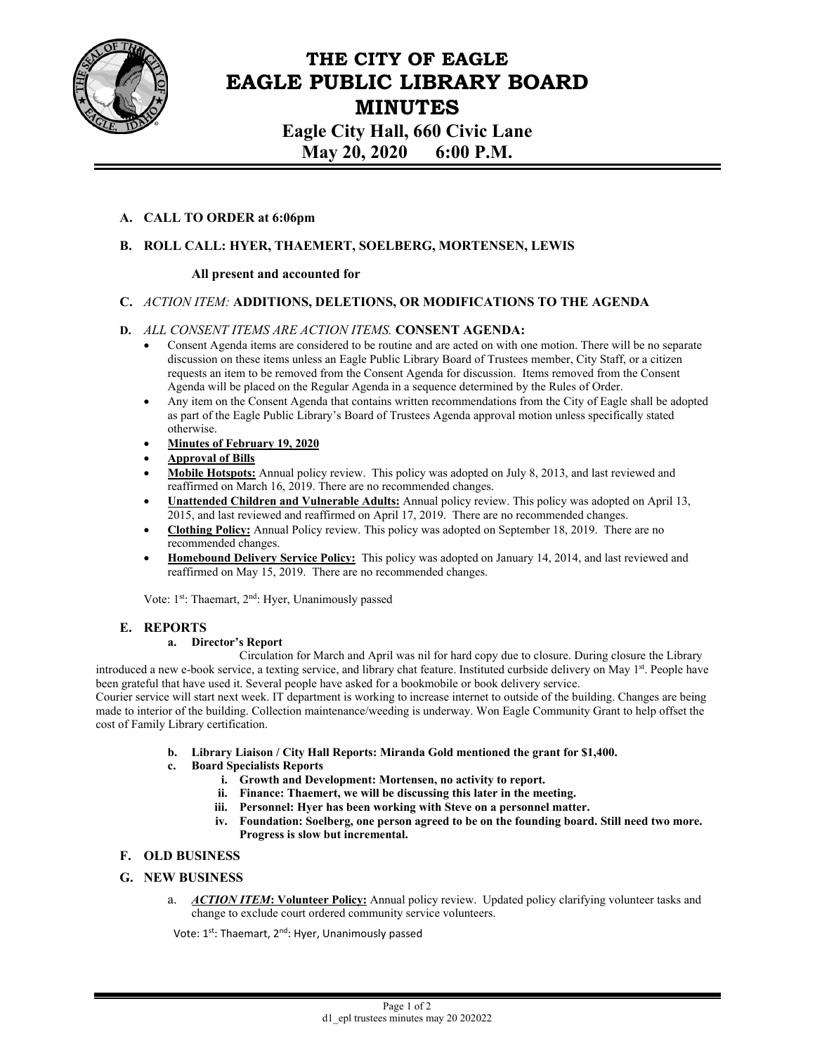

# **THE CITY OF EAGLE EAGLE PUBLIC LIBRARY BOARD MINUTES Eagle City Hall, 660 Civic Lane May 20, 2020 6:00 P.M.**

## **A. CALL TO ORDER at 6:06pm**

# **B. ROLL CALL: HYER, THAEMERT, SOELBERG, MORTENSEN, LEWIS**

## **All present and accounted for**

## **C.** *ACTION ITEM:* **ADDITIONS, DELETIONS, OR MODIFICATIONS TO THE AGENDA**

## **D.** *ALL CONSENT ITEMS ARE ACTION ITEMS.* **CONSENT AGENDA:**

- Consent Agenda items are considered to be routine and are acted on with one motion. There will be no separate discussion on these items unless an Eagle Public Library Board of Trustees member, City Staff, or a citizen requests an item to be removed from the Consent Agenda for discussion. Items removed from the Consent Agenda will be placed on the Regular Agenda in a sequence determined by the Rules of Order.
- Any item on the Consent Agenda that contains written recommendations from the City of Eagle shall be adopted as part of the Eagle Public Library's Board of Trustees Agenda approval motion unless specifically stated otherwise.
- **Minutes of February 19, 2020**
- **Approval of Bills**
- **Mobile Hotspots:** Annual policy review. This policy was adopted on July 8, 2013, and last reviewed and reaffirmed on March 16, 2019. There are no recommended changes.
- **Unattended Children and Vulnerable Adults:** Annual policy review. This policy was adopted on April 13, 2015, and last reviewed and reaffirmed on April 17, 2019. There are no recommended changes.
- **Clothing Policy:** Annual Policy review. This policy was adopted on September 18, 2019. There are no recommended changes.
- Homebound Delivery Service Policy: This policy was adopted on January 14, 2014, and last reviewed and reaffirmed on May 15, 2019. There are no recommended changes.

Vote: 1<sup>st</sup>: Thaemart, 2<sup>nd</sup>: Hyer, Unanimously passed

#### **E. REPORTS**

#### **a. Director's Report**

Circulation for March and April was nil for hard copy due to closure. During closure the Library introduced a new e-book service, a texting service, and library chat feature. Instituted curbside delivery on May 1<sup>st</sup>. People have been grateful that have used it. Several people have asked for a bookmobile or book delivery service.

Courier service will start next week. IT department is working to increase internet to outside of the building. Changes are being made to interior of the building. Collection maintenance/weeding is underway. Won Eagle Community Grant to help offset the cost of Family Library certification.

- **b. Library Liaison / City Hall Reports: Miranda Gold mentioned the grant for \$1,400.**
- **c. Board Specialists Reports** 
	- **i. Growth and Development: Mortensen, no activity to report.**
	- **ii. Finance: Thaemert, we will be discussing this later in the meeting.**
	- **iii. Personnel: Hyer has been working with Steve on a personnel matter.**
	- **iv. Foundation: Soelberg, one person agreed to be on the founding board. Still need two more. Progress is slow but incremental.**

## **F. OLD BUSINESS**

#### **G. NEW BUSINESS**

a. *ACTION ITEM***: Volunteer Policy:** Annual policy review. Updated policy clarifying volunteer tasks and change to exclude court ordered community service volunteers.

Vote: 1<sup>st</sup>: Thaemart, 2<sup>nd</sup>: Hyer, Unanimously passed